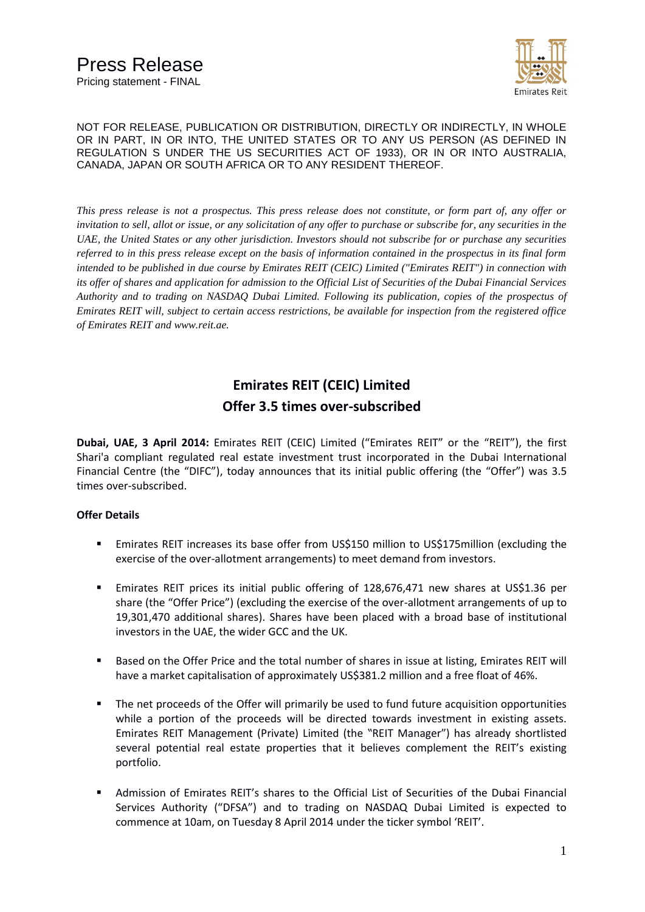

*This press release is not a prospectus. This press release does not constitute, or form part of, any offer or invitation to sell, allot or issue, or any solicitation of any offer to purchase or subscribe for, any securities in the UAE, the United States or any other jurisdiction. Investors should not subscribe for or purchase any securities referred to in this press release except on the basis of information contained in the prospectus in its final form intended to be published in due course by Emirates REIT (CEIC) Limited ("Emirates REIT") in connection with its offer of shares and application for admission to the Official List of Securities of the Dubai Financial Services Authority and to trading on NASDAQ Dubai Limited. Following its publication, copies of the prospectus of Emirates REIT will, subject to certain access restrictions, be available for inspection from the registered office of Emirates REIT and www.reit.ae.*

# **Emirates REIT (CEIC) Limited Offer 3.5 times over-subscribed**

**Dubai, UAE, 3 April 2014:** Emirates REIT (CEIC) Limited ("Emirates REIT" or the "REIT"), the first Shari'a compliant regulated real estate investment trust incorporated in the Dubai International Financial Centre (the "DIFC"), today announces that its initial public offering (the "Offer") was 3.5 times over-subscribed.

## **Offer Details**

- Emirates REIT increases its base offer from US\$150 million to US\$175million (excluding the exercise of the over-allotment arrangements) to meet demand from investors.
- Emirates REIT prices its initial public offering of 128,676,471 new shares at US\$1.36 per share (the "Offer Price") (excluding the exercise of the over-allotment arrangements of up to 19,301,470 additional shares). Shares have been placed with a broad base of institutional investors in the UAE, the wider GCC and the UK.
- Based on the Offer Price and the total number of shares in issue at listing, Emirates REIT will have a market capitalisation of approximately US\$381.2 million and a free float of 46%.
- The net proceeds of the Offer will primarily be used to fund future acquisition opportunities while a portion of the proceeds will be directed towards investment in existing assets. Emirates REIT Management (Private) Limited (the "REIT Manager") has already shortlisted several potential real estate properties that it believes complement the REIT's existing portfolio.
- Admission of Emirates REIT's shares to the Official List of Securities of the Dubai Financial Services Authority ("DFSA") and to trading on NASDAQ Dubai Limited is expected to commence at 10am, on Tuesday 8 April 2014 under the ticker symbol 'REIT'.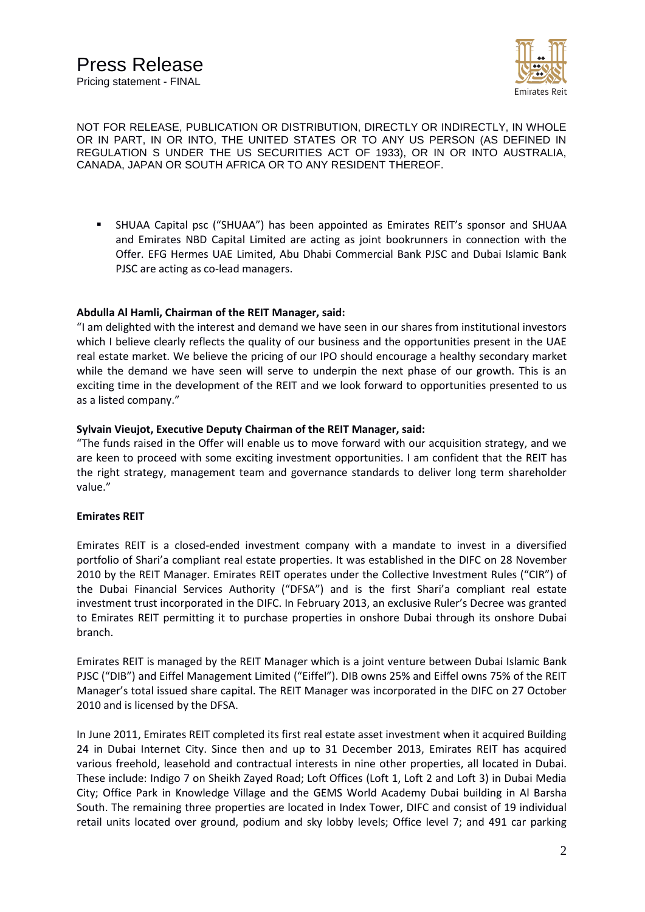

 SHUAA Capital psc ("SHUAA") has been appointed as Emirates REIT's sponsor and SHUAA and Emirates NBD Capital Limited are acting as joint bookrunners in connection with the Offer. EFG Hermes UAE Limited, Abu Dhabi Commercial Bank PJSC and Dubai Islamic Bank PJSC are acting as co-lead managers.

## **Abdulla Al Hamli, Chairman of the REIT Manager, said:**

"I am delighted with the interest and demand we have seen in our shares from institutional investors which I believe clearly reflects the quality of our business and the opportunities present in the UAE real estate market. We believe the pricing of our IPO should encourage a healthy secondary market while the demand we have seen will serve to underpin the next phase of our growth. This is an exciting time in the development of the REIT and we look forward to opportunities presented to us as a listed company."

## **Sylvain Vieujot, Executive Deputy Chairman of the REIT Manager, said:**

"The funds raised in the Offer will enable us to move forward with our acquisition strategy, and we are keen to proceed with some exciting investment opportunities. I am confident that the REIT has the right strategy, management team and governance standards to deliver long term shareholder value."

#### **Emirates REIT**

Emirates REIT is a closed-ended investment company with a mandate to invest in a diversified portfolio of Shari'a compliant real estate properties. It was established in the DIFC on 28 November 2010 by the REIT Manager. Emirates REIT operates under the Collective Investment Rules ("CIR") of the Dubai Financial Services Authority ("DFSA") and is the first Shari'a compliant real estate investment trust incorporated in the DIFC. In February 2013, an exclusive Ruler's Decree was granted to Emirates REIT permitting it to purchase properties in onshore Dubai through its onshore Dubai branch.

Emirates REIT is managed by the REIT Manager which is a joint venture between Dubai Islamic Bank PJSC ("DIB") and Eiffel Management Limited ("Eiffel"). DIB owns 25% and Eiffel owns 75% of the REIT Manager's total issued share capital. The REIT Manager was incorporated in the DIFC on 27 October 2010 and is licensed by the DFSA.

In June 2011, Emirates REIT completed its first real estate asset investment when it acquired Building 24 in Dubai Internet City. Since then and up to 31 December 2013, Emirates REIT has acquired various freehold, leasehold and contractual interests in nine other properties, all located in Dubai. These include: Indigo 7 on Sheikh Zayed Road; Loft Offices (Loft 1, Loft 2 and Loft 3) in Dubai Media City; Office Park in Knowledge Village and the GEMS World Academy Dubai building in Al Barsha South. The remaining three properties are located in Index Tower, DIFC and consist of 19 individual retail units located over ground, podium and sky lobby levels; Office level 7; and 491 car parking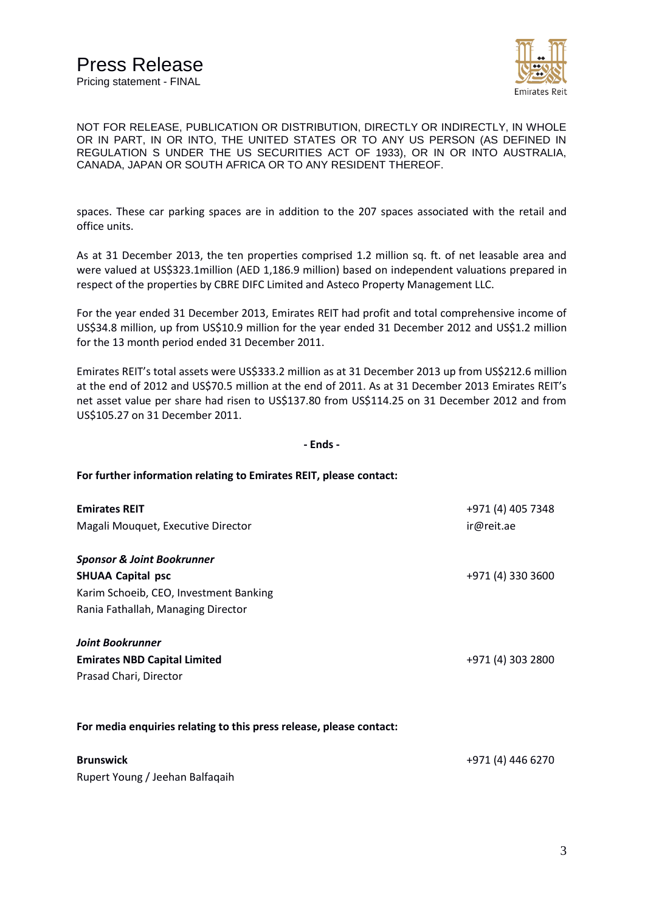

spaces. These car parking spaces are in addition to the 207 spaces associated with the retail and office units.

As at 31 December 2013, the ten properties comprised 1.2 million sq. ft. of net leasable area and were valued at US\$323.1million (AED 1,186.9 million) based on independent valuations prepared in respect of the properties by CBRE DIFC Limited and Asteco Property Management LLC.

For the year ended 31 December 2013, Emirates REIT had profit and total comprehensive income of US\$34.8 million, up from US\$10.9 million for the year ended 31 December 2012 and US\$1.2 million for the 13 month period ended 31 December 2011.

Emirates REIT's total assets were US\$333.2 million as at 31 December 2013 up from US\$212.6 million at the end of 2012 and US\$70.5 million at the end of 2011. As at 31 December 2013 Emirates REIT's net asset value per share had risen to US\$137.80 from US\$114.25 on 31 December 2012 and from US\$105.27 on 31 December 2011.

#### **- Ends -**

#### **For further information relating to Emirates REIT, please contact:**

| <b>Emirates REIT</b>                                                | +971 (4) 405 7348 |
|---------------------------------------------------------------------|-------------------|
| Magali Mouquet, Executive Director                                  | ir@reit.ae        |
|                                                                     |                   |
| <b>Sponsor &amp; Joint Bookrunner</b>                               |                   |
| <b>SHUAA Capital psc</b>                                            | +971 (4) 330 3600 |
| Karim Schoeib, CEO, Investment Banking                              |                   |
| Rania Fathallah, Managing Director                                  |                   |
| <b>Joint Bookrunner</b>                                             |                   |
| <b>Emirates NBD Capital Limited</b>                                 | +971 (4) 303 2800 |
| Prasad Chari, Director                                              |                   |
|                                                                     |                   |
| For media enquiries relating to this press release, please contact: |                   |
| <b>Brunswick</b>                                                    | +971 (4) 446 6270 |
| Rupert Young / Jeehan Balfagaih                                     |                   |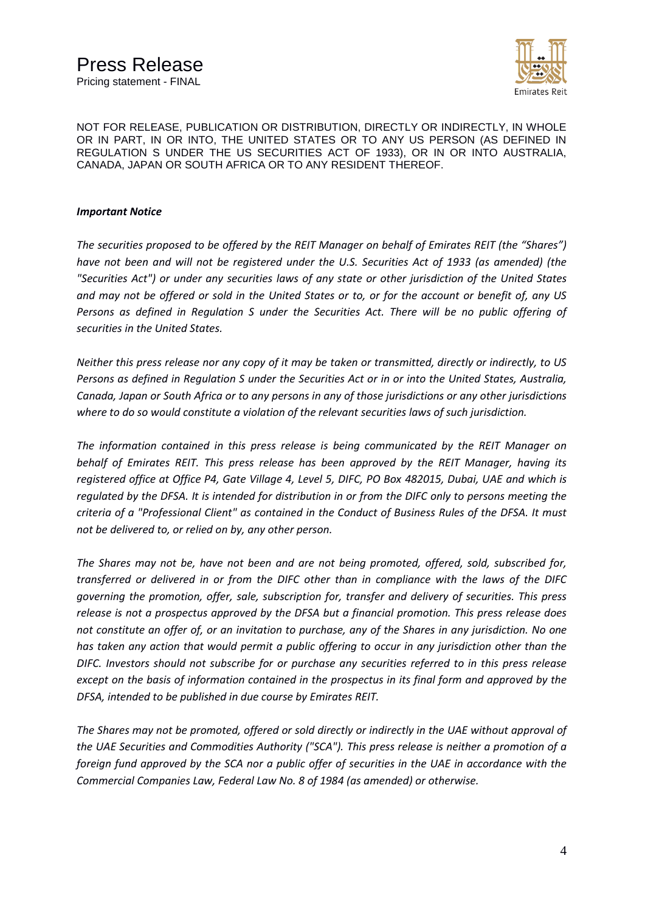

### *Important Notice*

*The securities proposed to be offered by the REIT Manager on behalf of Emirates REIT (the "Shares") have not been and will not be registered under the U.S. Securities Act of 1933 (as amended) (the "Securities Act") or under any securities laws of any state or other jurisdiction of the United States and may not be offered or sold in the United States or to, or for the account or benefit of, any US*  Persons as defined in Regulation S under the Securities Act. There will be no public offering of *securities in the United States.*

*Neither this press release nor any copy of it may be taken or transmitted, directly or indirectly, to US Persons as defined in Regulation S under the Securities Act or in or into the United States, Australia, Canada, Japan or South Africa or to any persons in any of those jurisdictions or any other jurisdictions where to do so would constitute a violation of the relevant securities laws of such jurisdiction.*

*The information contained in this press release is being communicated by the REIT Manager on behalf of Emirates REIT. This press release has been approved by the REIT Manager, having its registered office at Office P4, Gate Village 4, Level 5, DIFC, PO Box 482015, Dubai, UAE and which is regulated by the DFSA. It is intended for distribution in or from the DIFC only to persons meeting the criteria of a "Professional Client" as contained in the Conduct of Business Rules of the DFSA. It must not be delivered to, or relied on by, any other person.* 

*The Shares may not be, have not been and are not being promoted, offered, sold, subscribed for, transferred or delivered in or from the DIFC other than in compliance with the laws of the DIFC governing the promotion, offer, sale, subscription for, transfer and delivery of securities. This press release is not a prospectus approved by the DFSA but a financial promotion. This press release does not constitute an offer of, or an invitation to purchase, any of the Shares in any jurisdiction. No one has taken any action that would permit a public offering to occur in any jurisdiction other than the DIFC. Investors should not subscribe for or purchase any securities referred to in this press release except on the basis of information contained in the prospectus in its final form and approved by the DFSA, intended to be published in due course by Emirates REIT.*

*The Shares may not be promoted, offered or sold directly or indirectly in the UAE without approval of the UAE Securities and Commodities Authority ("SCA"). This press release is neither a promotion of a foreign fund approved by the SCA nor a public offer of securities in the UAE in accordance with the Commercial Companies Law, Federal Law No. 8 of 1984 (as amended) or otherwise.*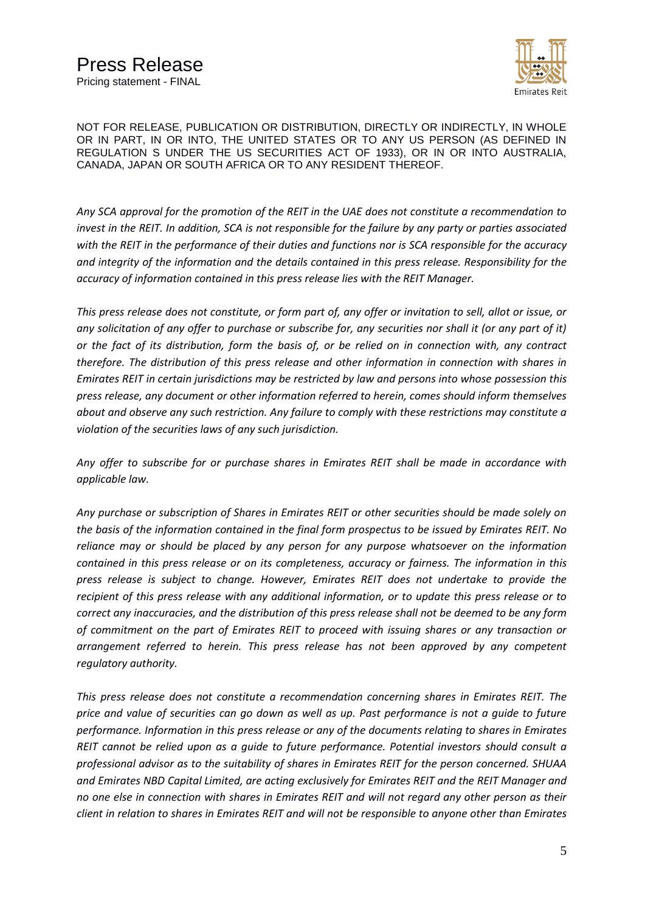

*Any SCA approval for the promotion of the REIT in the UAE does not constitute a recommendation to invest in the REIT. In addition, SCA is not responsible for the failure by any party or parties associated with the REIT in the performance of their duties and functions nor is SCA responsible for the accuracy and integrity of the information and the details contained in this press release. Responsibility for the accuracy of information contained in this press release lies with the REIT Manager.*

*This press release does not constitute, or form part of, any offer or invitation to sell, allot or issue, or any solicitation of any offer to purchase or subscribe for, any securities nor shall it (or any part of it) or the fact of its distribution, form the basis of, or be relied on in connection with, any contract therefore. The distribution of this press release and other information in connection with shares in Emirates REIT in certain jurisdictions may be restricted by law and persons into whose possession this press release, any document or other information referred to herein, comes should inform themselves about and observe any such restriction. Any failure to comply with these restrictions may constitute a violation of the securities laws of any such jurisdiction.*

*Any offer to subscribe for or purchase shares in Emirates REIT shall be made in accordance with applicable law.* 

*Any purchase or subscription of Shares in Emirates REIT or other securities should be made solely on the basis of the information contained in the final form prospectus to be issued by Emirates REIT. No reliance may or should be placed by any person for any purpose whatsoever on the information contained in this press release or on its completeness, accuracy or fairness. The information in this press release is subject to change. However, Emirates REIT does not undertake to provide the recipient of this press release with any additional information, or to update this press release or to correct any inaccuracies, and the distribution of this press release shall not be deemed to be any form of commitment on the part of Emirates REIT to proceed with issuing shares or any transaction or arrangement referred to herein. This press release has not been approved by any competent regulatory authority.*

*This press release does not constitute a recommendation concerning shares in Emirates REIT. The price and value of securities can go down as well as up. Past performance is not a guide to future performance. Information in this press release or any of the documents relating to shares in Emirates REIT cannot be relied upon as a guide to future performance. Potential investors should consult a professional advisor as to the suitability of shares in Emirates REIT for the person concerned. SHUAA and Emirates NBD Capital Limited, are acting exclusively for Emirates REIT and the REIT Manager and no one else in connection with shares in Emirates REIT and will not regard any other person as their client in relation to shares in Emirates REIT and will not be responsible to anyone other than Emirates*